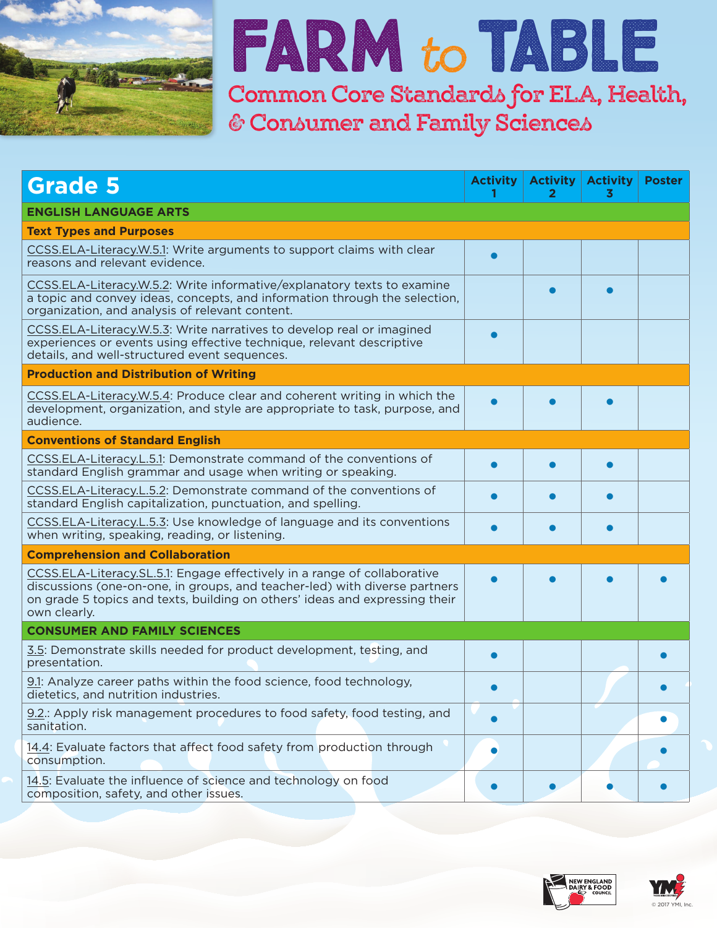

# **Farm** to**Table**

**Common Core Standards for ELA, Health, & Consumer and Family Sciences**

| <b>Grade 5</b>                                                                                                                                                                                                                                        | <b>Activity</b> | <b>Activity</b><br>2 | <b>Activity</b><br>3 | <b>Poster</b> |
|-------------------------------------------------------------------------------------------------------------------------------------------------------------------------------------------------------------------------------------------------------|-----------------|----------------------|----------------------|---------------|
| <b>ENGLISH LANGUAGE ARTS</b>                                                                                                                                                                                                                          |                 |                      |                      |               |
| <b>Text Types and Purposes</b>                                                                                                                                                                                                                        |                 |                      |                      |               |
| CCSS.ELA-Literacy.W.5.1: Write arguments to support claims with clear<br>reasons and relevant evidence.                                                                                                                                               |                 |                      |                      |               |
| CCSS.ELA-Literacy.W.5.2: Write informative/explanatory texts to examine<br>a topic and convey ideas, concepts, and information through the selection,<br>organization, and analysis of relevant content.                                              |                 |                      |                      |               |
| CCSS.ELA-Literacy.W.5.3: Write narratives to develop real or imagined<br>experiences or events using effective technique, relevant descriptive<br>details, and well-structured event sequences.                                                       |                 |                      |                      |               |
| <b>Production and Distribution of Writing</b>                                                                                                                                                                                                         |                 |                      |                      |               |
| CCSS.ELA-Literacy.W.5.4: Produce clear and coherent writing in which the<br>development, organization, and style are appropriate to task, purpose, and<br>audience.                                                                                   |                 |                      |                      |               |
| <b>Conventions of Standard English</b>                                                                                                                                                                                                                |                 |                      |                      |               |
| CCSS.ELA-Literacy.L.5.1: Demonstrate command of the conventions of<br>standard English grammar and usage when writing or speaking.                                                                                                                    |                 |                      |                      |               |
| CCSS.ELA-Literacy.L.5.2: Demonstrate command of the conventions of<br>standard English capitalization, punctuation, and spelling.                                                                                                                     |                 |                      |                      |               |
| CCSS.ELA-Literacy.L.5.3: Use knowledge of language and its conventions<br>when writing, speaking, reading, or listening.                                                                                                                              |                 |                      |                      |               |
| <b>Comprehension and Collaboration</b>                                                                                                                                                                                                                |                 |                      |                      |               |
| CCSS.ELA-Literacy.SL.5.1: Engage effectively in a range of collaborative<br>discussions (one-on-one, in groups, and teacher-led) with diverse partners<br>on grade 5 topics and texts, building on others' ideas and expressing their<br>own clearly. |                 |                      |                      |               |
| <b>CONSUMER AND FAMILY SCIENCES</b>                                                                                                                                                                                                                   |                 |                      |                      |               |
| 3.5: Demonstrate skills needed for product development, testing, and<br>presentation.                                                                                                                                                                 |                 |                      |                      |               |
| 9.1: Analyze career paths within the food science, food technology,<br>dietetics, and nutrition industries.                                                                                                                                           |                 |                      |                      |               |
| 9.2.: Apply risk management procedures to food safety, food testing, and<br>sanitation.                                                                                                                                                               |                 |                      |                      |               |
| 14.4: Evaluate factors that affect food safety from production through<br>consumption.                                                                                                                                                                |                 |                      |                      |               |
| 14.5: Evaluate the influence of science and technology on food<br>composition, safety, and other issues.                                                                                                                                              |                 |                      |                      |               |



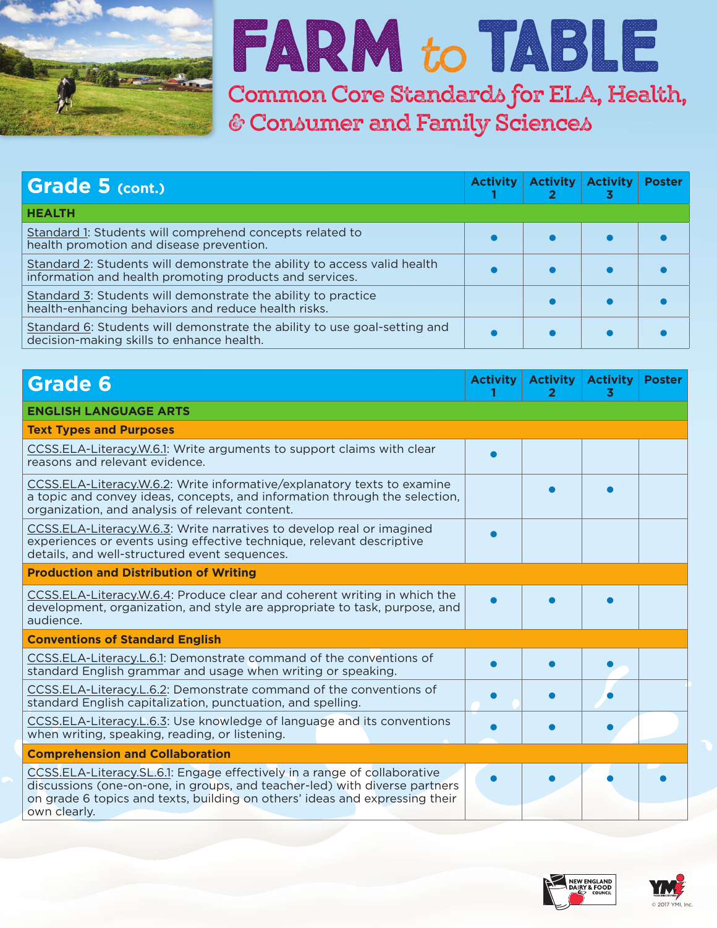

### **Farm** to**Table Common Core Standards for ELA, Health,**

**& Consumer and Family Sciences**

| Grade 5 (cont.)                                                                                                                     | <b>Activity</b> | <b>Activity Activity</b> | 3 | <b>Poster</b> |
|-------------------------------------------------------------------------------------------------------------------------------------|-----------------|--------------------------|---|---------------|
| <b>HEALTH</b>                                                                                                                       |                 |                          |   |               |
| Standard 1: Students will comprehend concepts related to<br>health promotion and disease prevention.                                |                 |                          |   |               |
| Standard 2: Students will demonstrate the ability to access valid health<br>information and health promoting products and services. |                 |                          |   |               |
| Standard 3: Students will demonstrate the ability to practice<br>health-enhancing behaviors and reduce health risks.                |                 |                          |   |               |
| Standard 6: Students will demonstrate the ability to use goal-setting and<br>decision-making skills to enhance health.              |                 |                          |   |               |

| <b>Grade 6</b>                                                                                                                                                                                                                                        | <b>Activity</b> | <b>Activity</b> | <b>Activity</b><br>3 | <b>Poster</b> |
|-------------------------------------------------------------------------------------------------------------------------------------------------------------------------------------------------------------------------------------------------------|-----------------|-----------------|----------------------|---------------|
| <b>ENGLISH LANGUAGE ARTS</b>                                                                                                                                                                                                                          |                 |                 |                      |               |
| <b>Text Types and Purposes</b>                                                                                                                                                                                                                        |                 |                 |                      |               |
| CCSS.ELA-Literacy.W.6.1: Write arguments to support claims with clear<br>reasons and relevant evidence.                                                                                                                                               |                 |                 |                      |               |
| CCSS.ELA-Literacy.W.6.2: Write informative/explanatory texts to examine<br>a topic and convey ideas, concepts, and information through the selection,<br>organization, and analysis of relevant content.                                              |                 |                 |                      |               |
| CCSS.ELA-Literacy.W.6.3: Write narratives to develop real or imagined<br>experiences or events using effective technique, relevant descriptive<br>details, and well-structured event sequences.                                                       |                 |                 |                      |               |
| <b>Production and Distribution of Writing</b>                                                                                                                                                                                                         |                 |                 |                      |               |
| CCSS.ELA-Literacy.W.6.4: Produce clear and coherent writing in which the<br>development, organization, and style are appropriate to task, purpose, and<br>audience.                                                                                   |                 |                 |                      |               |
| <b>Conventions of Standard English</b>                                                                                                                                                                                                                |                 |                 |                      |               |
| CCSS.ELA-Literacy.L.6.1: Demonstrate command of the conventions of<br>standard English grammar and usage when writing or speaking.                                                                                                                    |                 |                 |                      |               |
| CCSS.ELA-Literacy.L.6.2: Demonstrate command of the conventions of<br>standard English capitalization, punctuation, and spelling.                                                                                                                     |                 |                 |                      |               |
| CCSS.ELA-Literacy.L.6.3: Use knowledge of language and its conventions<br>when writing, speaking, reading, or listening.                                                                                                                              |                 |                 |                      |               |
| <b>Comprehension and Collaboration</b>                                                                                                                                                                                                                |                 |                 |                      |               |
| CCSS.ELA-Literacy.SL.6.1: Engage effectively in a range of collaborative<br>discussions (one-on-one, in groups, and teacher-led) with diverse partners<br>on grade 6 topics and texts, building on others' ideas and expressing their<br>own clearly. |                 |                 |                      |               |



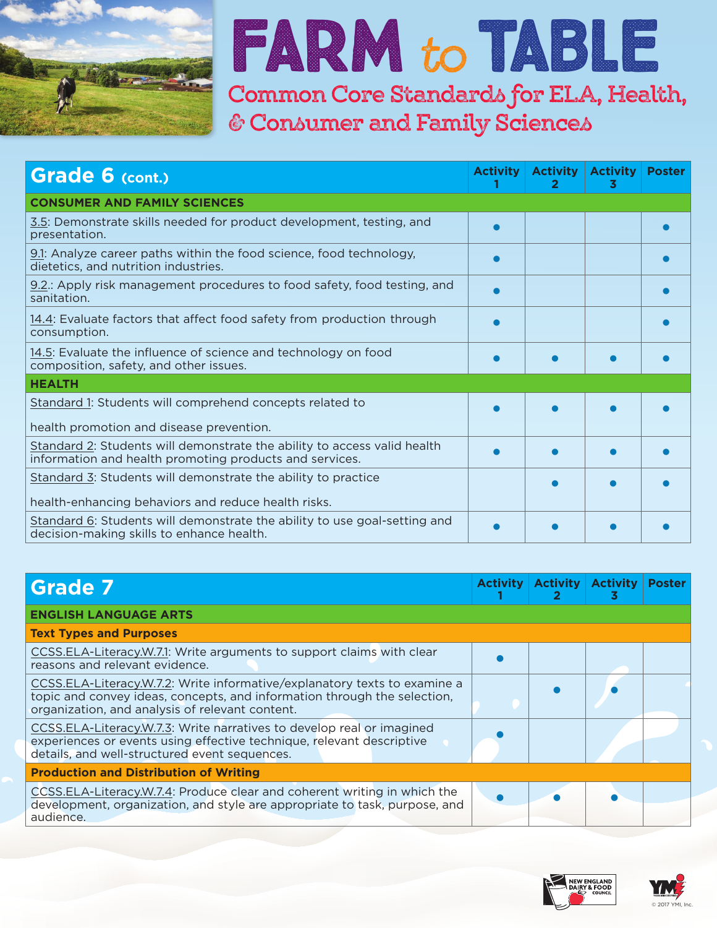

## **Farm** to**Table**

**Common Core Standards for ELA, Health, & Consumer and Family Sciences**

| Grade 6 (cont.)                                                                                                                     | <b>Activity</b> | <b>Activity</b><br>2 | <b>Activity</b><br>3 | <b>Poster</b> |
|-------------------------------------------------------------------------------------------------------------------------------------|-----------------|----------------------|----------------------|---------------|
| <b>CONSUMER AND FAMILY SCIENCES</b>                                                                                                 |                 |                      |                      |               |
| 3.5: Demonstrate skills needed for product development, testing, and<br>presentation.                                               |                 |                      |                      |               |
| 9.1: Analyze career paths within the food science, food technology,<br>dietetics, and nutrition industries.                         |                 |                      |                      |               |
| 9.2. Apply risk management procedures to food safety, food testing, and<br>sanitation.                                              |                 |                      |                      |               |
| 14.4: Evaluate factors that affect food safety from production through<br>consumption.                                              |                 |                      |                      |               |
| 14.5: Evaluate the influence of science and technology on food<br>composition, safety, and other issues.                            |                 |                      |                      |               |
| <b>HEALTH</b>                                                                                                                       |                 |                      |                      |               |
| Standard 1: Students will comprehend concepts related to<br>health promotion and disease prevention.                                |                 |                      |                      |               |
| Standard 2: Students will demonstrate the ability to access valid health<br>information and health promoting products and services. |                 |                      |                      |               |
| Standard 3: Students will demonstrate the ability to practice<br>health-enhancing behaviors and reduce health risks.                |                 |                      |                      |               |
| Standard 6: Students will demonstrate the ability to use goal-setting and<br>decision-making skills to enhance health.              |                 |                      |                      |               |

| <b>Grade 7</b>                                                                                                                                                                                           | <b>Activity</b> | <b>Activity</b> | <b>Activity</b> | <b>Poster</b> |
|----------------------------------------------------------------------------------------------------------------------------------------------------------------------------------------------------------|-----------------|-----------------|-----------------|---------------|
| <b>ENGLISH LANGUAGE ARTS</b>                                                                                                                                                                             |                 |                 |                 |               |
| <b>Text Types and Purposes</b>                                                                                                                                                                           |                 |                 |                 |               |
| CCSS.ELA-Literacy.W.7.1: Write arguments to support claims with clear<br>reasons and relevant evidence.                                                                                                  |                 |                 |                 |               |
| CCSS.ELA-Literacy.W.7.2: Write informative/explanatory texts to examine a<br>topic and convey ideas, concepts, and information through the selection,<br>organization, and analysis of relevant content. |                 |                 |                 |               |
| CCSS.ELA-Literacy.W.7.3: Write narratives to develop real or imagined<br>experiences or events using effective technique, relevant descriptive<br>details, and well-structured event sequences.          |                 |                 |                 |               |
| <b>Production and Distribution of Writing</b>                                                                                                                                                            |                 |                 |                 |               |
| CCSS.ELA-Literacy.W.7.4: Produce clear and coherent writing in which the<br>development, organization, and style are appropriate to task, purpose, and<br>audience.                                      |                 |                 |                 |               |



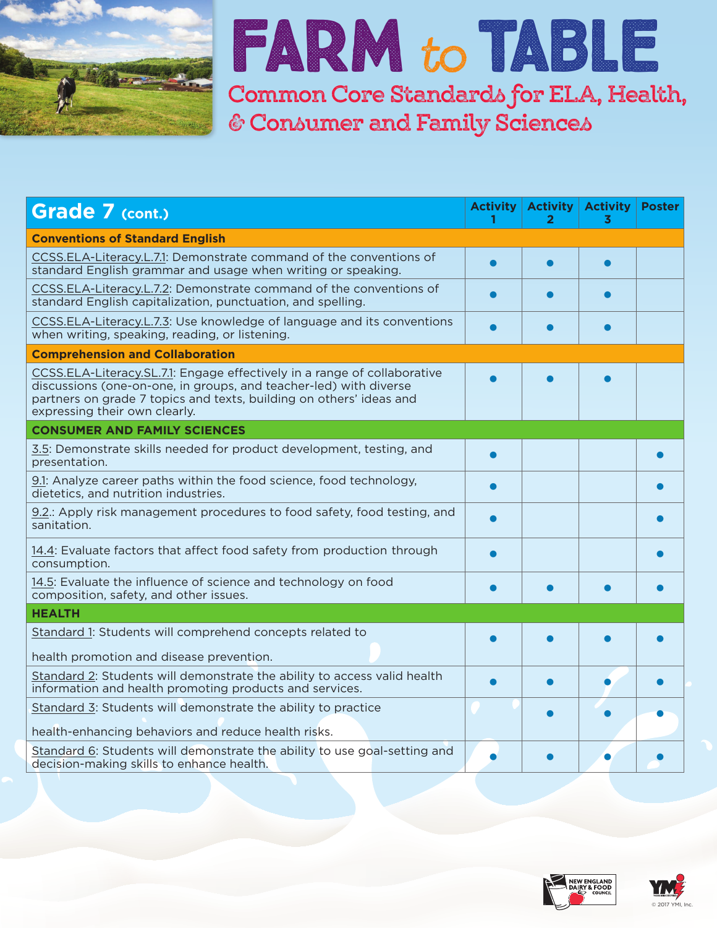

#### **Farm** to**Table Common Core Standards for ELA, Health, & Consumer and Family Sciences**

| <b>Grade 7 (cont.)</b>                                                                                                                                                                                                                                | <b>Activity</b> | <b>Activity</b><br>2 | <b>Activity</b><br>3 | <b>Poster</b> |
|-------------------------------------------------------------------------------------------------------------------------------------------------------------------------------------------------------------------------------------------------------|-----------------|----------------------|----------------------|---------------|
| <b>Conventions of Standard English</b>                                                                                                                                                                                                                |                 |                      |                      |               |
| CCSS.ELA-Literacy.L.7.1: Demonstrate command of the conventions of<br>standard English grammar and usage when writing or speaking.                                                                                                                    |                 | ●                    |                      |               |
| CCSS.ELA-Literacy.L.7.2: Demonstrate command of the conventions of<br>standard English capitalization, punctuation, and spelling.                                                                                                                     |                 |                      |                      |               |
| CCSS.ELA-Literacy.L.7.3: Use knowledge of language and its conventions<br>when writing, speaking, reading, or listening.                                                                                                                              |                 |                      |                      |               |
| <b>Comprehension and Collaboration</b>                                                                                                                                                                                                                |                 |                      |                      |               |
| CCSS.ELA-Literacy.SL.7.1: Engage effectively in a range of collaborative<br>discussions (one-on-one, in groups, and teacher-led) with diverse<br>partners on grade 7 topics and texts, building on others' ideas and<br>expressing their own clearly. |                 |                      |                      |               |
| <b>CONSUMER AND FAMILY SCIENCES</b>                                                                                                                                                                                                                   |                 |                      |                      |               |
| 3.5: Demonstrate skills needed for product development, testing, and<br>presentation.                                                                                                                                                                 |                 |                      |                      |               |
| 9.1: Analyze career paths within the food science, food technology,<br>dietetics, and nutrition industries.                                                                                                                                           |                 |                      |                      |               |
| 9.2.: Apply risk management procedures to food safety, food testing, and<br>sanitation.                                                                                                                                                               |                 |                      |                      |               |
| 14.4: Evaluate factors that affect food safety from production through<br>consumption.                                                                                                                                                                |                 |                      |                      |               |
| 14.5: Evaluate the influence of science and technology on food<br>composition, safety, and other issues.                                                                                                                                              |                 |                      |                      |               |
| <b>HEALTH</b>                                                                                                                                                                                                                                         |                 |                      |                      |               |
| Standard 1: Students will comprehend concepts related to<br>health promotion and disease prevention.                                                                                                                                                  |                 |                      |                      |               |
| Standard 2: Students will demonstrate the ability to access valid health<br>information and health promoting products and services.                                                                                                                   |                 | $\bullet$            |                      |               |
| Standard 3: Students will demonstrate the ability to practice<br>health-enhancing behaviors and reduce health risks.                                                                                                                                  |                 |                      |                      |               |
| Standard 6: Students will demonstrate the ability to use goal-setting and<br>decision-making skills to enhance health.                                                                                                                                |                 |                      |                      |               |



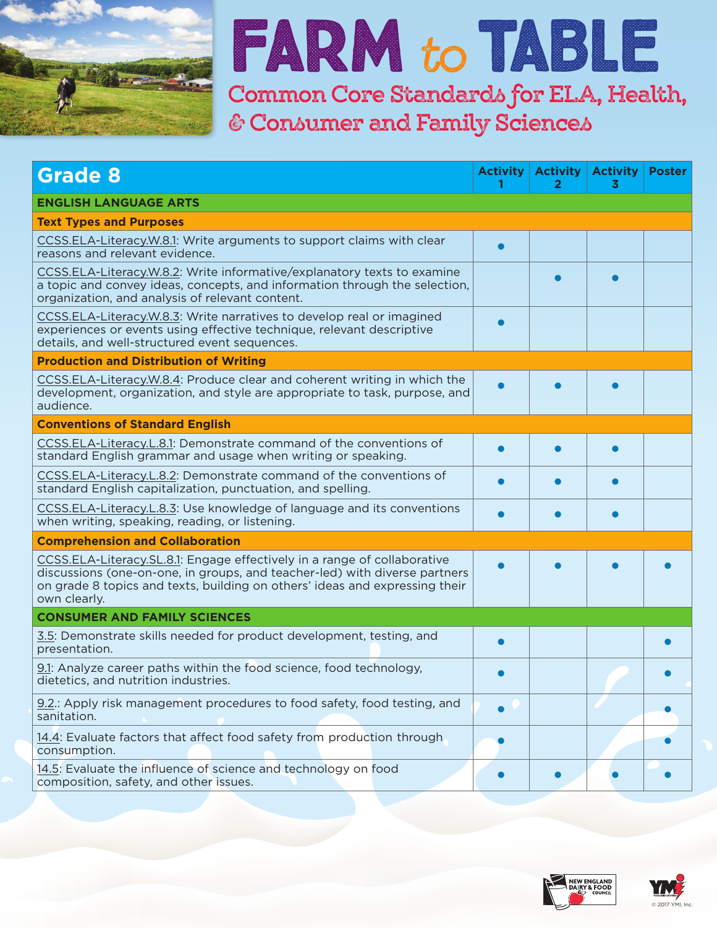

### **Farm** to**Table**

**Common Core Standards for ELA, Health, & Consumer and Family Sciences**

| <b>Grade 8</b>                                                                                                                                                                                                                                        | <b>Activity</b> | <b>Activity</b><br>2 | <b>Activity</b><br>3 | <b>Poster</b> |
|-------------------------------------------------------------------------------------------------------------------------------------------------------------------------------------------------------------------------------------------------------|-----------------|----------------------|----------------------|---------------|
| <b>ENGLISH LANGUAGE ARTS</b>                                                                                                                                                                                                                          |                 |                      |                      |               |
| <b>Text Types and Purposes</b>                                                                                                                                                                                                                        |                 |                      |                      |               |
| CCSS.ELA-Literacy.W.8.1: Write arguments to support claims with clear<br>reasons and relevant evidence.                                                                                                                                               |                 |                      |                      |               |
| CCSS.ELA-Literacy.W.8.2: Write informative/explanatory texts to examine<br>a topic and convey ideas, concepts, and information through the selection,<br>organization, and analysis of relevant content.                                              |                 |                      |                      |               |
| CCSS.ELA-Literacy.W.8.3: Write narratives to develop real or imagined<br>experiences or events using effective technique, relevant descriptive<br>details, and well-structured event sequences.                                                       |                 |                      |                      |               |
| <b>Production and Distribution of Writing</b>                                                                                                                                                                                                         |                 |                      |                      |               |
| CCSS.ELA-Literacy.W.8.4: Produce clear and coherent writing in which the<br>development, organization, and style are appropriate to task, purpose, and<br>audience.                                                                                   |                 |                      |                      |               |
| <b>Conventions of Standard English</b>                                                                                                                                                                                                                |                 |                      |                      |               |
| CCSS.ELA-Literacy.L.8.1: Demonstrate command of the conventions of<br>standard English grammar and usage when writing or speaking.                                                                                                                    |                 |                      |                      |               |
| CCSS.ELA-Literacy.L.8.2: Demonstrate command of the conventions of<br>standard English capitalization, punctuation, and spelling.                                                                                                                     |                 |                      |                      |               |
| CCSS.ELA-Literacy.L.8.3: Use knowledge of language and its conventions<br>when writing, speaking, reading, or listening.                                                                                                                              |                 | ●                    |                      |               |
| <b>Comprehension and Collaboration</b>                                                                                                                                                                                                                |                 |                      |                      |               |
| CCSS.ELA-Literacy.SL.8.1: Engage effectively in a range of collaborative<br>discussions (one-on-one, in groups, and teacher-led) with diverse partners<br>on grade 8 topics and texts, building on others' ideas and expressing their<br>own clearly. |                 |                      |                      |               |
| <b>CONSUMER AND FAMILY SCIENCES</b>                                                                                                                                                                                                                   |                 |                      |                      |               |
| 3.5: Demonstrate skills needed for product development, testing, and<br>presentation.                                                                                                                                                                 |                 |                      |                      |               |
| 9.1: Analyze career paths within the food science, food technology,<br>dietetics, and nutrition industries.                                                                                                                                           |                 |                      |                      |               |
| 9.2.: Apply risk management procedures to food safety, food testing, and<br>sanitation.                                                                                                                                                               |                 |                      |                      |               |
| 14.4: Evaluate factors that affect food safety from production through<br>consumption.                                                                                                                                                                |                 |                      |                      |               |
| 14.5: Evaluate the influence of science and technology on food<br>composition, safety, and other issues.                                                                                                                                              |                 |                      |                      |               |